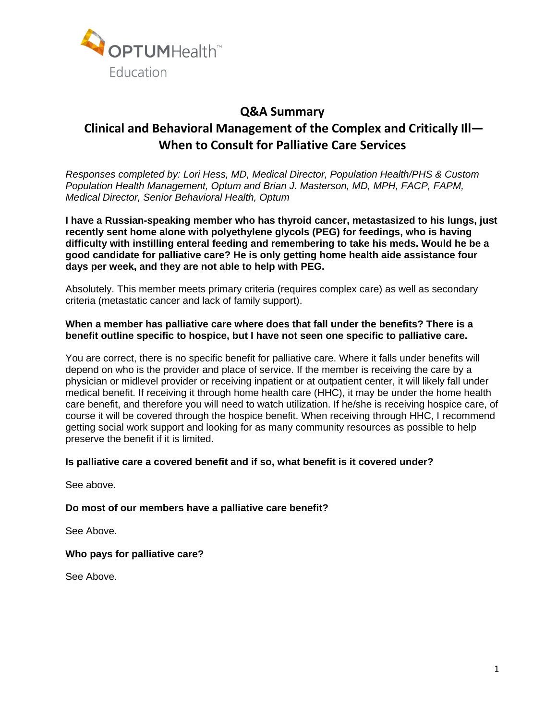

# **Q&A Summary Clinical and Behavioral Management of the Complex and Critically Ill— When to Consult for Palliative Care Services**

*Responses completed by: Lori Hess, MD, Medical Director, Population Health/PHS & Custom Population Health Management, Optum and Brian J. Masterson, MD, MPH, FACP, FAPM, Medical Director, Senior Behavioral Health, Optum* 

**I have a Russian-speaking member who has thyroid cancer, metastasized to his lungs, just recently sent home alone with polyethylene glycols (PEG) for feedings, who is having difficulty with instilling enteral feeding and remembering to take his meds. Would he be a good candidate for palliative care? He is only getting home health aide assistance four days per week, and they are not able to help with PEG.** 

Absolutely. This member meets primary criteria (requires complex care) as well as secondary criteria (metastatic cancer and lack of family support).

## **When a member has palliative care where does that fall under the benefits? There is a benefit outline specific to hospice, but I have not seen one specific to palliative care.**

You are correct, there is no specific benefit for palliative care. Where it falls under benefits will depend on who is the provider and place of service. If the member is receiving the care by a physician or midlevel provider or receiving inpatient or at outpatient center, it will likely fall under medical benefit. If receiving it through home health care (HHC), it may be under the home health care benefit, and therefore you will need to watch utilization. If he/she is receiving hospice care, of course it will be covered through the hospice benefit. When receiving through HHC, I recommend getting social work support and looking for as many community resources as possible to help preserve the benefit if it is limited.

## **Is palliative care a covered benefit and if so, what benefit is it covered under?**

See above.

#### **Do most of our members have a palliative care benefit?**

See Above.

**Who pays for palliative care?** 

See Above.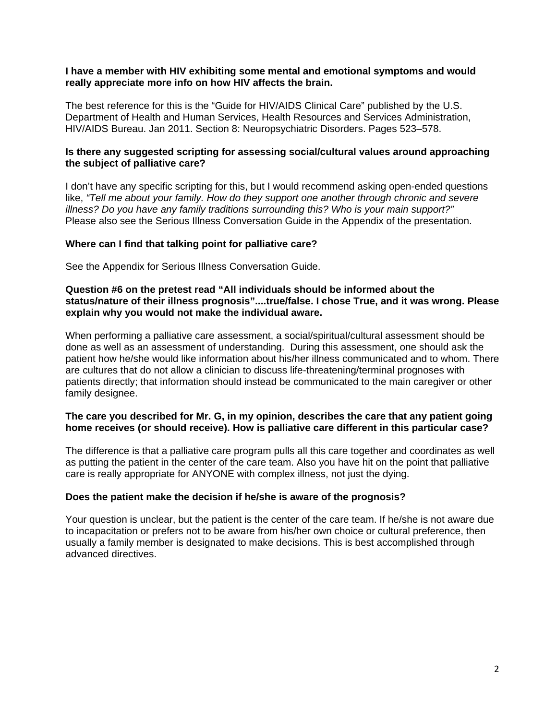#### **I have a member with HIV exhibiting some mental and emotional symptoms and would really appreciate more info on how HIV affects the brain.**

The best reference for this is the "Guide for HIV/AIDS Clinical Care" published by the U.S. Department of Health and Human Services, Health Resources and Services Administration, HIV/AIDS Bureau. Jan 2011. Section 8: Neuropsychiatric Disorders. Pages 523–578.

## **Is there any suggested scripting for assessing social/cultural values around approaching the subject of palliative care?**

I don't have any specific scripting for this, but I would recommend asking open-ended questions like, *"Tell me about your family. How do they support one another through chronic and severe illness? Do you have any family traditions surrounding this? Who is your main support?"*  Please also see the Serious Illness Conversation Guide in the Appendix of the presentation.

## **Where can I find that talking point for palliative care?**

See the Appendix for Serious Illness Conversation Guide.

#### **Question #6 on the pretest read "All individuals should be informed about the status/nature of their illness prognosis"....true/false. I chose True, and it was wrong. Please explain why you would not make the individual aware.**

When performing a palliative care assessment, a social/spiritual/cultural assessment should be done as well as an assessment of understanding. During this assessment, one should ask the patient how he/she would like information about his/her illness communicated and to whom. There are cultures that do not allow a clinician to discuss life-threatening/terminal prognoses with patients directly; that information should instead be communicated to the main caregiver or other family designee.

#### **The care you described for Mr. G, in my opinion, describes the care that any patient going home receives (or should receive). How is palliative care different in this particular case?**

The difference is that a palliative care program pulls all this care together and coordinates as well as putting the patient in the center of the care team. Also you have hit on the point that palliative care is really appropriate for ANYONE with complex illness, not just the dying.

#### **Does the patient make the decision if he/she is aware of the prognosis?**

Your question is unclear, but the patient is the center of the care team. If he/she is not aware due to incapacitation or prefers not to be aware from his/her own choice or cultural preference, then usually a family member is designated to make decisions. This is best accomplished through advanced directives.